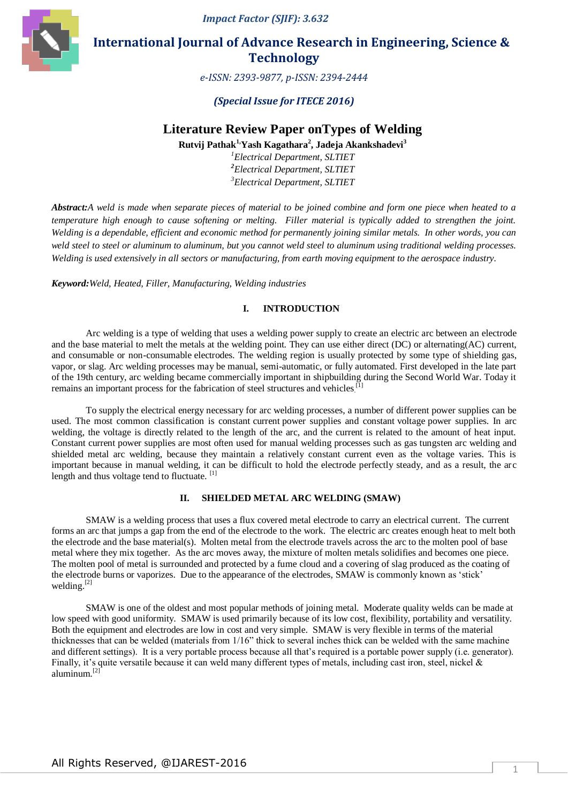*Impact Factor (SJIF): 3.632*



 **International Journal of Advance Research in Engineering, Science & Technology** 

*e-ISSN: 2393-9877, p-ISSN: 2394-2444*

## *(Special Issue for ITECE 2016)*

# **Literature Review Paper onTypes of Welding**

**Rutvij Pathak1,Yash Kagathara<sup>2</sup> , Jadeja Akankshadevi<sup>3</sup>**

*<sup>1</sup>Electrical Department, SLTIET <sup>2</sup>Electrical Department, SLTIET <sup>3</sup>Electrical Department, SLTIET*

*Abstract:A weld is made when separate pieces of material to be joined combine and form one piece when heated to a temperature high enough to cause softening or melting. Filler material is typically added to strengthen the joint. Welding is a dependable, efficient and economic method for permanently joining similar metals. In other words, you can weld steel to steel or aluminum to aluminum, but you cannot weld steel to aluminum using traditional welding processes. Welding is used extensively in all sectors or manufacturing, from earth moving equipment to the aerospace industry.*

*Keyword:Weld, Heated, Filler, Manufacturing, Welding industries*

### **I. INTRODUCTION**

Arc welding is a type of [welding](https://en.wikipedia.org/wiki/Welding) that uses a [welding power supply](https://en.wikipedia.org/wiki/Welding_power_supply) to create an [electric arc](https://en.wikipedia.org/wiki/Electric_arc) between an electrode and the base material to melt the metals at the welding point. They can use either [direct](https://en.wikipedia.org/wiki/Direct_current) (DC) or [alternating\(](https://en.wikipedia.org/wiki/Alternating_current)AC) current, and consumable or non-consumable [electrodes.](https://en.wikipedia.org/wiki/Electrode) The welding region is usually protected by some type of [shielding gas,](https://en.wikipedia.org/wiki/Shielding_gas) vapor, or slag. Arc welding processes may be manual, semi-automatic, or fully automated. First developed in the late part of the 19th century, arc welding became commercially important in shipbuilding during the Second World War. Today it remains an important process for the fabrication of steel structures and vehicles.<sup>[1]</sup>

To supply the electrical energy necessary for arc welding processes, a number of different power supplies can be used. The most common classification is constant [current](https://en.wikipedia.org/wiki/Electrical_current) power supplies and constant [voltage](https://en.wikipedia.org/wiki/Voltage) power supplies. In arc welding, the voltage is directly related to the length of the arc, and the current is related to the amount of heat input. Constant current power supplies are most often used for manual welding processes such as gas tungsten arc welding and shielded metal arc welding, because they maintain a relatively constant current even as the voltage varies. This is important because in manual welding, it can be difficult to hold the electrode perfectly steady, and as a result, the arc length and thus voltage tend to fluctuate. [1]

## **II. SHIELDED METAL ARC WELDING (SMAW)**

SMAW is a welding process that uses a flux covered metal electrode to carry an electrical current. The current forms an arc that jumps a gap from the end of the electrode to the work. The electric arc creates enough heat to melt both the electrode and the base material(s). Molten metal from the electrode travels across the arc to the molten pool of base metal where they mix together. As the arc moves away, the mixture of molten metals solidifies and becomes one piece. The molten pool of metal is surrounded and protected by a fume cloud and a covering of slag produced as the coating of the electrode burns or vaporizes. Due to the appearance of the electrodes, SMAW is commonly known as 'stick' welding.<sup>[2]</sup>

SMAW is one of the oldest and most popular methods of joining metal. Moderate quality welds can be made at low speed with good uniformity. SMAW is used primarily because of its low cost, flexibility, portability and versatility. Both the equipment and electrodes are low in cost and very simple. SMAW is very flexible in terms of the material thicknesses that can be welded (materials from 1/16" thick to several inches thick can be welded with the same machine and different settings). It is a very portable process because all that's required is a portable power supply (i.e. generator). Finally, it's quite versatile because it can weld many different types of metals, including cast iron, steel, nickel & aluminum.[2]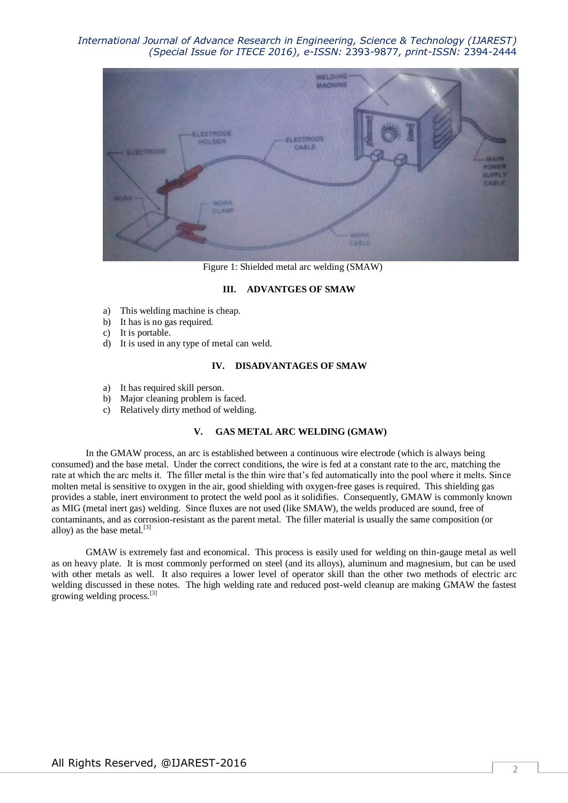## *International Journal of Advance Research in Engineering, Science & Technology (IJAREST) (Special Issue for ITECE 2016), e-ISSN:* 2393-9877*, print-ISSN:* 2394-2444



Figure 1: Shielded metal arc welding (SMAW)

#### **III. ADVANTGES OF SMAW**

- a) This welding machine is cheap.
- b) It has is no gas required.
- c) It is portable.
- d) It is used in any type of metal can weld.

## **IV. DISADVANTAGES OF SMAW**

- a) It has required skill person.
- b) Major cleaning problem is faced.
- c) Relatively dirty method of welding.

#### **V. GAS METAL ARC WELDING (GMAW)**

In the GMAW process, an arc is established between a continuous wire electrode (which is always being consumed) and the base metal. Under the correct conditions, the wire is fed at a constant rate to the arc, matching the rate at which the arc melts it. The filler metal is the thin wire that's fed automatically into the pool where it melts. Since molten metal is sensitive to oxygen in the air, good shielding with oxygen-free gases is required. This shielding gas provides a stable, inert environment to protect the weld pool as it solidifies. Consequently, GMAW is commonly known as MIG (metal inert gas) welding. Since fluxes are not used (like SMAW), the welds produced are sound, free of contaminants, and as corrosion-resistant as the parent metal. The filler material is usually the same composition (or alloy) as the base metal. $^{[3]}$ 

GMAW is extremely fast and economical. This process is easily used for welding on thin-gauge metal as well as on heavy plate. It is most commonly performed on steel (and its alloys), aluminum and magnesium, but can be used with other metals as well. It also requires a lower level of operator skill than the other two methods of electric arc welding discussed in these notes. The high welding rate and reduced post-weld cleanup are making GMAW the fastest growing welding process.[3]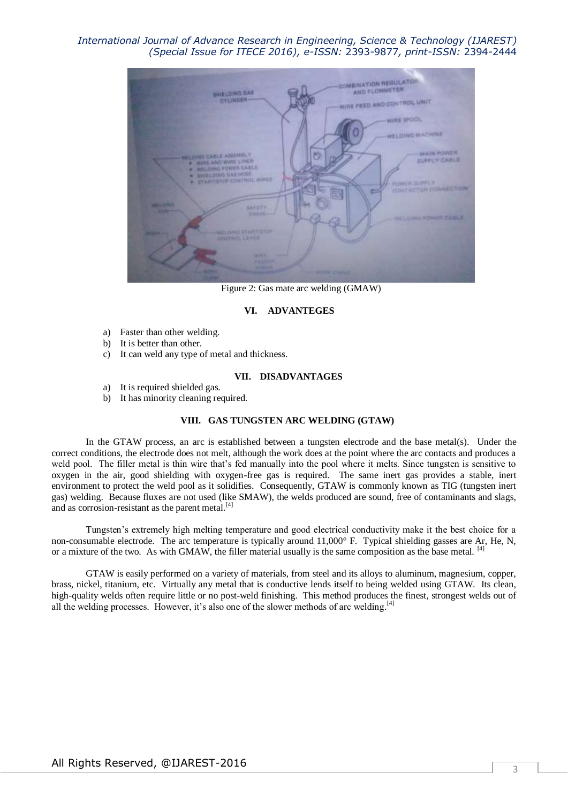## *International Journal of Advance Research in Engineering, Science & Technology (IJAREST) (Special Issue for ITECE 2016), e-ISSN:* 2393-9877*, print-ISSN:* 2394-2444



Figure 2: Gas mate arc welding (GMAW)

#### **VI. ADVANTEGES**

- a) Faster than other welding.
- b) It is better than other.
- c) It can weld any type of metal and thickness.

#### **VII. DISADVANTAGES**

- a) It is required shielded gas.
- b) It has minority cleaning required.

#### **VIII. GAS TUNGSTEN ARC WELDING (GTAW)**

In the GTAW process, an arc is established between a tungsten electrode and the base metal(s). Under the correct conditions, the electrode does not melt, although the work does at the point where the arc contacts and produces a weld pool. The filler metal is thin wire that's fed manually into the pool where it melts. Since tungsten is sensitive to oxygen in the air, good shielding with oxygen-free gas is required. The same inert gas provides a stable, inert environment to protect the weld pool as it solidifies. Consequently, GTAW is commonly known as TIG (tungsten inert gas) welding. Because fluxes are not used (like SMAW), the welds produced are sound, free of contaminants and slags, and as corrosion-resistant as the parent metal. $^{[4]}$ 

Tungsten's extremely high melting temperature and good electrical conductivity make it the best choice for a non-consumable electrode. The arc temperature is typically around  $11,000^\circ$  F. Typical shielding gasses are Ar, He, N, or a mixture of the two. As with GMAW, the filler material usually is the same composition as the base metal. <sup>[4]</sup>

GTAW is easily performed on a variety of materials, from steel and its alloys to aluminum, magnesium, copper, brass, nickel, titanium, etc. Virtually any metal that is conductive lends itself to being welded using GTAW. Its clean, high-quality welds often require little or no post-weld finishing. This method produces the finest, strongest welds out of all the welding processes. However, it's also one of the slower methods of arc welding.<sup>[4]</sup>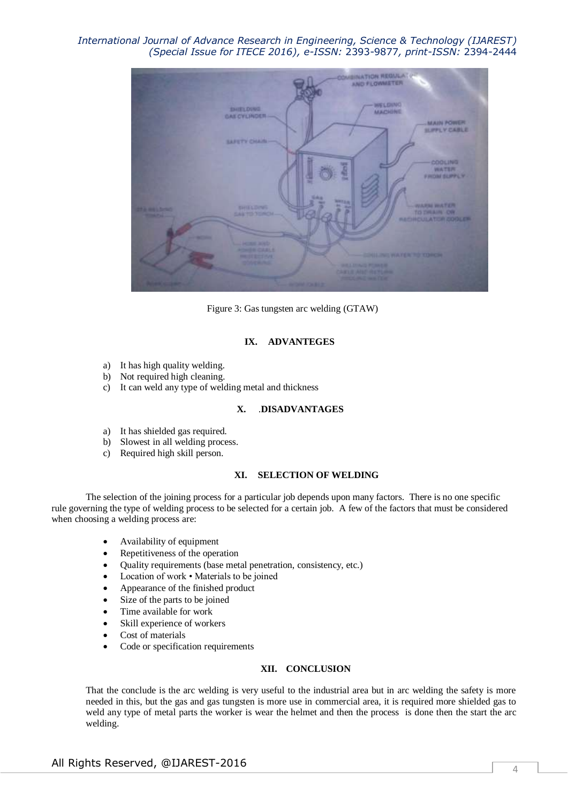*International Journal of Advance Research in Engineering, Science & Technology (IJAREST) (Special Issue for ITECE 2016), e-ISSN:* 2393-9877*, print-ISSN:* 2394-2444



Figure 3: Gas tungsten arc welding (GTAW)

#### **IX. ADVANTEGES**

- a) It has high quality welding.
- b) Not required high cleaning.
- c) It can weld any type of welding metal and thickness

#### **X.** .**DISADVANTAGES**

- a) It has shielded gas required.
- b) Slowest in all welding process.
- c) Required high skill person.

## **XI. SELECTION OF WELDING**

The selection of the joining process for a particular job depends upon many factors. There is no one specific rule governing the type of welding process to be selected for a certain job. A few of the factors that must be considered when choosing a welding process are:

- Availability of equipment
- Repetitiveness of the operation
- Quality requirements (base metal penetration, consistency, etc.)
- Location of work Materials to be joined
- Appearance of the finished product
- Size of the parts to be joined
- Time available for work
- Skill experience of workers
- Cost of materials
- Code or specification requirements

## **XII. CONCLUSION**

That the conclude is the arc welding is very useful to the industrial area but in arc welding the safety is more needed in this, but the gas and gas tungsten is more use in commercial area, it is required more shielded gas to weld any type of metal parts the worker is wear the helmet and then the process is done then the start the arc welding.